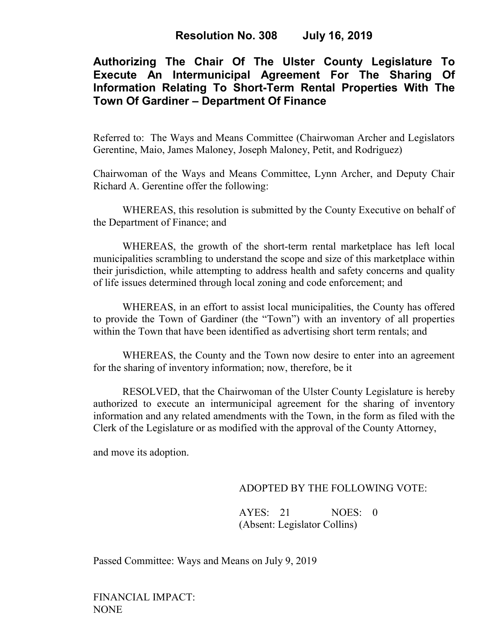## **Authorizing The Chair Of The Ulster County Legislature To Execute An Intermunicipal Agreement For The Sharing Of Information Relating To Short-Term Rental Properties With The Town Of Gardiner – Department Of Finance**

Referred to: The Ways and Means Committee (Chairwoman Archer and Legislators Gerentine, Maio, James Maloney, Joseph Maloney, Petit, and Rodriguez)

Chairwoman of the Ways and Means Committee, Lynn Archer, and Deputy Chair Richard A. Gerentine offer the following:

WHEREAS, this resolution is submitted by the County Executive on behalf of the Department of Finance; and

WHEREAS, the growth of the short-term rental marketplace has left local municipalities scrambling to understand the scope and size of this marketplace within their jurisdiction, while attempting to address health and safety concerns and quality of life issues determined through local zoning and code enforcement; and

WHEREAS, in an effort to assist local municipalities, the County has offered to provide the Town of Gardiner (the "Town") with an inventory of all properties within the Town that have been identified as advertising short term rentals; and

WHEREAS, the County and the Town now desire to enter into an agreement for the sharing of inventory information; now, therefore, be it

RESOLVED, that the Chairwoman of the Ulster County Legislature is hereby authorized to execute an intermunicipal agreement for the sharing of inventory information and any related amendments with the Town, in the form as filed with the Clerk of the Legislature or as modified with the approval of the County Attorney,

and move its adoption.

## ADOPTED BY THE FOLLOWING VOTE:

AYES: 21 NOES: 0 (Absent: Legislator Collins)

Passed Committee: Ways and Means on July 9, 2019

FINANCIAL IMPACT: NONE